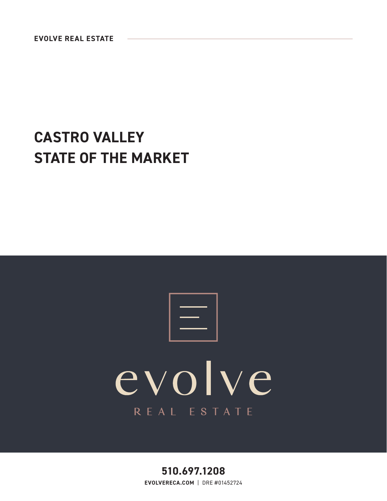## **CASTRO VALLEY STATE OF THE MARKET**

# evolve REAL ESTATE

**510.697.1208 EVOLVERECA.COM** | DRE #01452724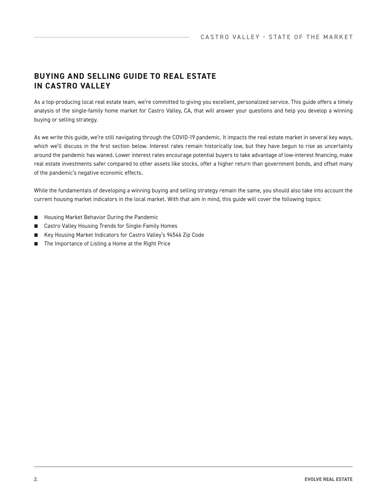### **BUYING AND SELLING GUIDE TO REAL ESTATE IN CASTRO VALLEY**

As a top-producing local real estate team, we're committed to giving you excellent, personalized service. This guide offers a timely analysis of the single-family home market for Castro Valley, CA, that will answer your questions and help you develop a winning buying or selling strategy.

As we write this guide, we're still navigating through the COVID-19 pandemic. It impacts the real estate market in several key ways, which we'll discuss in the first section below. Interest rates remain historically low, but they have begun to rise as uncertainty around the pandemic has waned. Lower interest rates encourage potential buyers to take advantage of low-interest financing, make real estate investments safer compared to other assets like stocks, offer a higher return than government bonds, and offset many of the pandemic's negative economic effects.

While the fundamentals of developing a winning buying and selling strategy remain the same, you should also take into account the current housing market indicators in the local market. With that aim in mind, this guide will cover the following topics:

- Housing Market Behavior During the Pandemic
- Castro Valley Housing Trends for Single-Family Homes
- Key Housing Market Indicators for Castro Valley's 94546 Zip Code
- The Importance of Listing a Home at the Right Price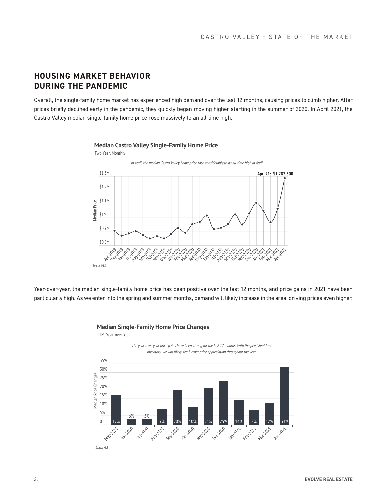#### **HOUSING MARKET BEHAVIOR DURING THE PANDEMIC**

Overall, the single-family home market has experienced high demand over the last 12 months, causing prices to climb higher. After prices briefly declined early in the pandemic, they quickly began moving higher starting in the summer of 2020. In April 2021, the Castro Valley median single-family home price rose massively to an all-time high.



Year-over-year, the median single-family home price has been positive over the last 12 months, and price gains in 2021 have been particularly high. As we enter into the spring and summer months, demand will likely increase in the area, driving prices even higher.



TTM, Year-over-Year

The year-over-year price gains have been strong for the last 12 months. With the persistent low inventory, we will likely see further price appreciation throughout the year.

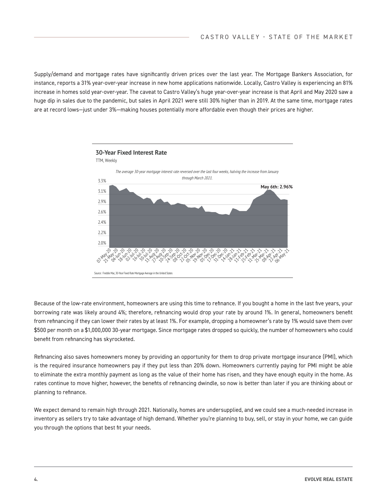Supply/demand and mortgage rates have significantly driven prices over the last year. The Mortgage Bankers Association, for instance, reports a 31% year-over-year increase in new home applications nationwide. Locally, Castro Valley is experiencing an 81% increase in homes sold year-over-year. The caveat to Castro Valley's huge year-over-year increase is that April and May 2020 saw a huge dip in sales due to the pandemic, but sales in April 2021 were still 30% higher than in 2019. At the same time, mortgage rates are at record lows—just under 3%—making houses potentially more affordable even though their prices are higher.



Because of the low-rate environment, homeowners are using this time to refinance. If you bought a home in the last five years, your borrowing rate was likely around 4%; therefore, refinancing would drop your rate by around 1%. In general, homeowners benefit from refinancing if they can lower their rates by at least 1%. For example, dropping a homeowner's rate by 1% would save them over \$500 per month on a \$1,000,000 30-year mortgage. Since mortgage rates dropped so quickly, the number of homeowners who could benefit from refinancing has skyrocketed.

Refinancing also saves homeowners money by providing an opportunity for them to drop private mortgage insurance (PMI), which is the required insurance homeowners pay if they put less than 20% down. Homeowners currently paying for PMI might be able to eliminate the extra monthly payment as long as the value of their home has risen, and they have enough equity in the home. As rates continue to move higher, however, the benefits of refinancing dwindle, so now is better than later if you are thinking about or planning to refinance.

We expect demand to remain high through 2021. Nationally, homes are undersupplied, and we could see a much-needed increase in inventory as sellers try to take advantage of high demand. Whether you're planning to buy, sell, or stay in your home, we can guide you through the options that best fit your needs.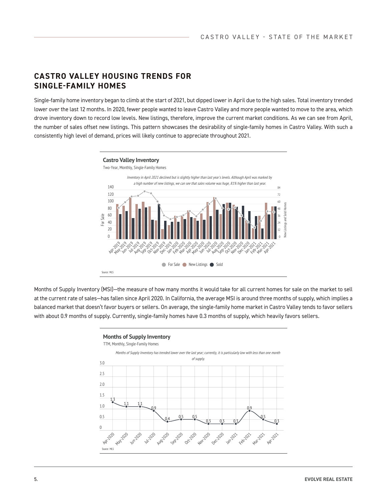#### **CASTRO VALLEY HOUSING TRENDS FOR SINGLE-FAMILY HOMES**

Single-family home inventory began to climb at the start of 2021, but dipped lower in April due to the high sales. Total inventory trended lower over the last 12 months. In 2020, fewer people wanted to leave Castro Valley and more people wanted to move to the area, which drove inventory down to record low levels. New listings, therefore, improve the current market conditions. As we can see from April, the number of sales offset new listings. This pattern showcases the desirability of single-family homes in Castro Valley. With such a consistently high level of demand, prices will likely continue to appreciate throughout 2021.



Months of Supply Inventory (MSI)—the measure of how many months it would take for all current homes for sale on the market to sell at the current rate of sales—has fallen since April 2020. In California, the average MSI is around three months of supply, which implies a balanced market that doesn't favor buyers or sellers. On average, the single-family home market in Castro Valley tends to favor sellers with about 0.9 months of supply. Currently, single-family homes have 0.3 months of supply, which heavily favors sellers.

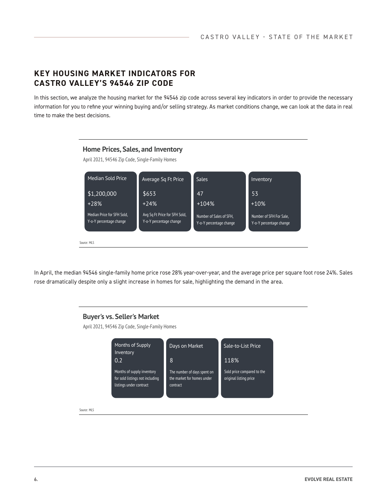#### **KEY HOUSING MARKET INDICATORS FOR CASTRO VALLEY'S 94546 ZIP CODE**

In this section, we analyze the housing market for the 94546 zip code across several key indicators in order to provide the necessary information for you to refine your winning buying and/or selling strategy. As market conditions change, we can look at the data in real time to make the best decisions.



In April, the median 94546 single-family home price rose 28% year-over-year, and the average price per square foot rose 24%. Sales rose dramatically despite only a slight increase in homes for sale, highlighting the demand in the area.

#### **Buyer's vs. Seller's Market**

April 2021, 94546 Zip Code, Single-Family Homes



Source: MLS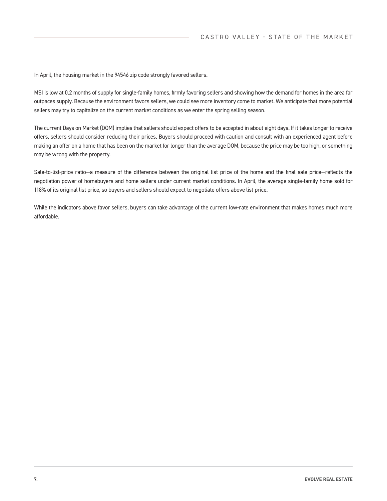In April, the housing market in the 94546 zip code strongly favored sellers.

MSI is low at 0.2 months of supply for single-family homes, firmly favoring sellers and showing how the demand for homes in the area far outpaces supply. Because the environment favors sellers, we could see more inventory come to market. We anticipate that more potential sellers may try to capitalize on the current market conditions as we enter the spring selling season.

The current Days on Market (DOM) implies that sellers should expect offers to be accepted in about eight days. If it takes longer to receive offers, sellers should consider reducing their prices. Buyers should proceed with caution and consult with an experienced agent before making an offer on a home that has been on the market for longer than the average DOM, because the price may be too high, or something may be wrong with the property.

Sale-to-list-price ratio—a measure of the difference between the original list price of the home and the final sale price—reflects the negotiation power of homebuyers and home sellers under current market conditions. In April, the average single-family home sold for 118% of its original list price, so buyers and sellers should expect to negotiate offers above list price.

While the indicators above favor sellers, buyers can take advantage of the current low-rate environment that makes homes much more affordable.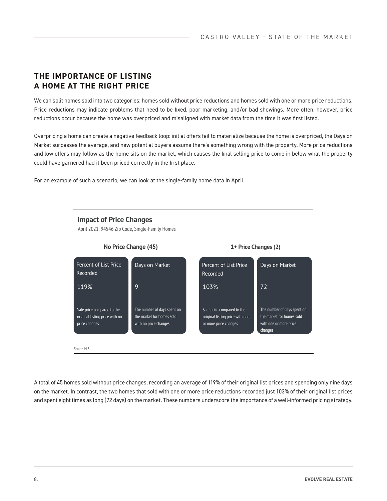### **THE IMPORTANCE OF LISTING A HOME AT THE RIGHT PRICE**

We can split homes sold into two categories: homes sold without price reductions and homes sold with one or more price reductions. Price reductions may indicate problems that need to be fixed, poor marketing, and/or bad showings. More often, however, price reductions occur because the home was overpriced and misaligned with market data from the time it was first listed.

Overpricing a home can create a negative feedback loop: initial offers fail to materialize because the home is overpriced, the Days on Market surpasses the average, and new potential buyers assume there's something wrong with the property. More price reductions and low offers may follow as the home sits on the market, which causes the final selling price to come in below what the property could have garnered had it been priced correctly in the first place.

For an example of such a scenario, we can look at the single-family home data in April.

**Impact of Price Changes**

April 2021, 94546 Zip Code, Single-Family Homes



A total of 45 homes sold without price changes, recording an average of 119% of their original list prices and spending only nine days on the market. In contrast, the two homes that sold with one or more price reductions recorded just 103% of their original list prices and spent eight times as long (72 days) on the market. These numbers underscore the importance of a well-informed pricing strategy.